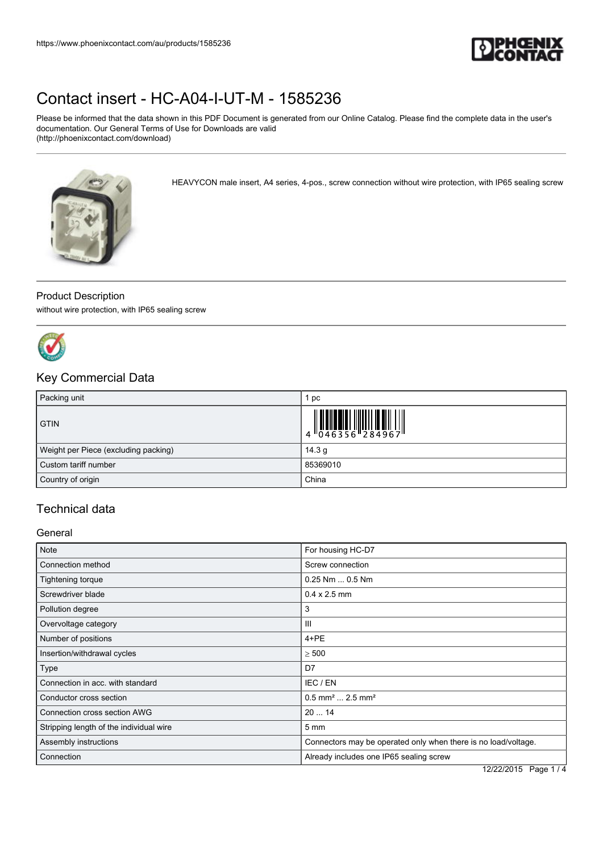

# [Contact insert - HC-A04-I-UT-M - 1585236](https://www.phoenixcontact.com/au/products/1585236)

Please be informed that the data shown in this PDF Document is generated from our Online Catalog. Please find the complete data in the user's documentation. Our General Terms of Use for Downloads are valid (http://phoenixcontact.com/download)

HEAVYCON male insert, A4 series, 4-pos., screw connection without wire protection, with IP65 sealing screw



#### Product Description

without wire protection, with IP65 sealing screw



### Key Commercial Data

| Packing unit                         | рc                                                                        |
|--------------------------------------|---------------------------------------------------------------------------|
| <b>GTIN</b>                          | $\begin{array}{c} 1 & 0 & 0 & 0 \\ 0 & 0 & 4 & 6 & 3 & 5 & 6 \end{array}$ |
| Weight per Piece (excluding packing) | 14.3 $q$                                                                  |
| Custom tariff number                 | 85369010                                                                  |
| Country of origin                    | China                                                                     |

## Technical data

#### **General**

| <b>Note</b>                             | For housing HC-D7                                              |  |
|-----------------------------------------|----------------------------------------------------------------|--|
| Connection method                       | Screw connection                                               |  |
| Tightening torque                       | $0.25$ Nm $$ 0.5 Nm                                            |  |
| Screwdriver blade                       | $0.4 \times 2.5$ mm                                            |  |
| Pollution degree                        | 3                                                              |  |
| Overvoltage category                    | Ш                                                              |  |
| Number of positions                     | 4+PE                                                           |  |
| Insertion/withdrawal cycles             | $\geq 500$                                                     |  |
| Type                                    | D7                                                             |  |
| Connection in acc. with standard        | IEC / EN                                                       |  |
| Conductor cross section                 | $0.5$ mm <sup>2</sup> 2.5 mm <sup>2</sup>                      |  |
| Connection cross section AWG            | 2014                                                           |  |
| Stripping length of the individual wire | $5 \text{ mm}$                                                 |  |
| Assembly instructions                   | Connectors may be operated only when there is no load/voltage. |  |
| Connection                              | Already includes one IP65 sealing screw                        |  |

12/22/2015 Page 1 / 4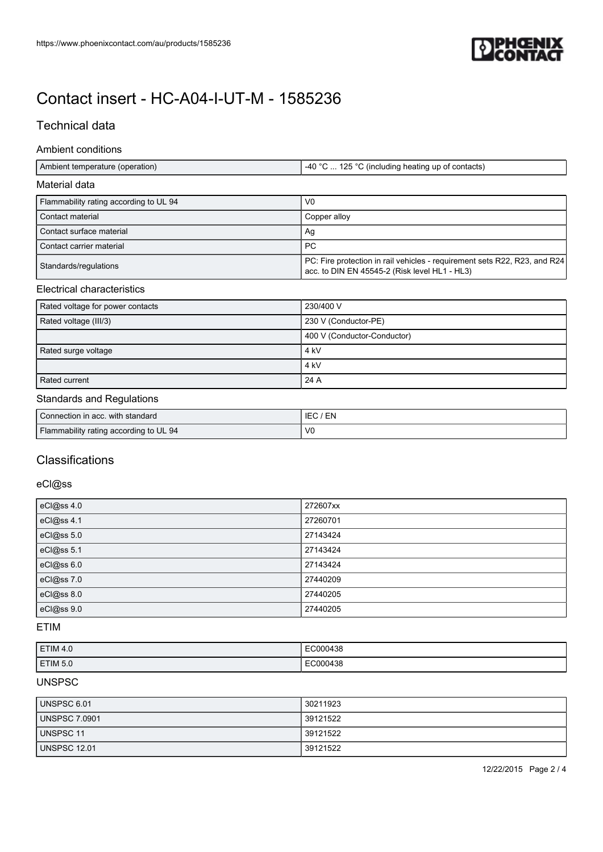

# [Contact insert - HC-A04-I-UT-M - 1585236](https://www.phoenixcontact.com/au/products/1585236)

### Technical data

#### Ambient conditions

| Ambient temperature (operation) | (40 °C  125 °C (including heating up of contacts) |
|---------------------------------|---------------------------------------------------|

#### Material data

| Flammability rating according to UL 94 | V <sub>0</sub>                                                                                                             |
|----------------------------------------|----------------------------------------------------------------------------------------------------------------------------|
| Contact material                       | Copper allov                                                                                                               |
| Contact surface material               | Ag                                                                                                                         |
| Contact carrier material               | -PC                                                                                                                        |
| Standards/regulations                  | PC: Fire protection in rail vehicles - requirement sets R22, R23, and R24<br>acc. to DIN EN 45545-2 (Risk level HL1 - HL3) |

#### Electrical characteristics

| Rated voltage for power contacts | 230/400 V                   |
|----------------------------------|-----------------------------|
| Rated voltage (III/3)            | 230 V (Conductor-PE)        |
|                                  | 400 V (Conductor-Conductor) |
| Rated surge voltage              | 4 kV                        |
|                                  | 4 kV                        |
| Rated current                    | 24 A                        |

#### Standards and Regulations

| Connection in acc. with standard       | EN<br>IEC      |
|----------------------------------------|----------------|
| Flammability rating according to UL 94 | V <sub>0</sub> |

### **Classifications**

#### eCl@ss

| eCl@ss 4.0 | 272607xx |
|------------|----------|
| eCl@ss 4.1 | 27260701 |
| eCl@ss 5.0 | 27143424 |
| eCl@ss 5.1 | 27143424 |
| eCl@ss 6.0 | 27143424 |
| eCl@ss 7.0 | 27440209 |
| eCl@ss 8.0 | 27440205 |
| eCl@ss 9.0 | 27440205 |

#### ETIM

| ETIM 4.0 | EC000438 |
|----------|----------|
| ETIM 5.0 | EC000438 |

#### UNSPSC

| UNSPSC 6.01          | 30211923 |
|----------------------|----------|
| <b>UNSPSC 7.0901</b> | 39121522 |
| UNSPSC 11            | 39121522 |
| <b>UNSPSC 12.01</b>  | 39121522 |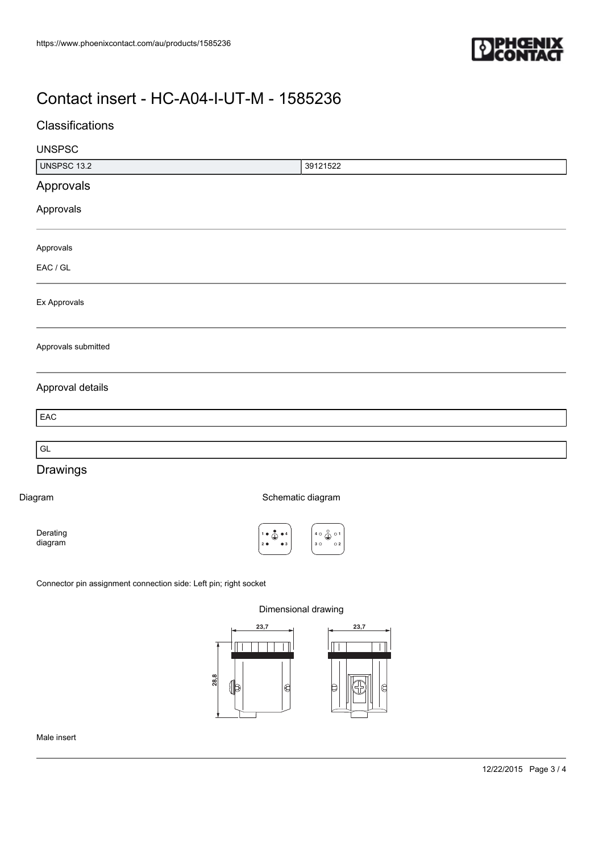

## [Contact insert - HC-A04-I-UT-M - 1585236](https://www.phoenixcontact.com/au/products/1585236)

## Classifications

| <b>UNSPSC</b>       |                                                                                                                                               |  |
|---------------------|-----------------------------------------------------------------------------------------------------------------------------------------------|--|
| <b>UNSPSC 13.2</b>  | 39121522                                                                                                                                      |  |
| Approvals           |                                                                                                                                               |  |
| Approvals           |                                                                                                                                               |  |
| Approvals           |                                                                                                                                               |  |
| EAC / GL            |                                                                                                                                               |  |
| Ex Approvals        |                                                                                                                                               |  |
| Approvals submitted |                                                                                                                                               |  |
| Approval details    |                                                                                                                                               |  |
| EAC                 |                                                                                                                                               |  |
| GL                  |                                                                                                                                               |  |
| Drawings            |                                                                                                                                               |  |
| Diagram             | Schematic diagram                                                                                                                             |  |
| Derating<br>diagram | $40 \bigoplus_{n=1}^{\infty} 01$<br>$1 \bullet \bigoplus_{i=1}^{\infty} \bullet 4$<br>$3^\circ$<br>$\circ$ 2<br>2 <sub>0</sub><br>$\bullet$ 3 |  |
|                     |                                                                                                                                               |  |

Connector pin assignment connection side: Left pin; right socket

Dimensional drawing



Male insert